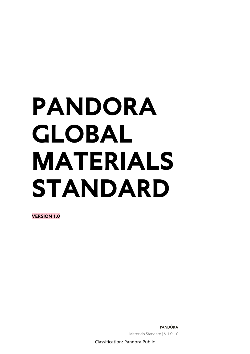# **PANDORA GLOBAL MATERIALS STANDARD**

**VERSION 1.0**

**PANDÖRA** Materials Standard | V.1.0 | 0

Classification: Pandora Public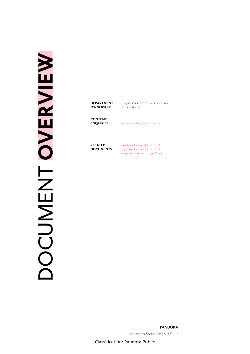# DOCUMENT **OVERVIEW NENT OVERVIEW**

**DEPARTMENT OWNERSHIP**

Corporate Communications and Sustainability

**CONTENT** 

**ENQUIRIES** [sustainability@pandora.net](mailto:sustainability@pandora.net)

**RELATED DOCUMENTS** [Pandora Code of Conduct](https://pandoragroup.com/sustainability/resources/policies) [Supplier Code of Conduct](https://pandoragroup.com/sustainability/resources/policies) [Responsible Sourcing Policy](https://pandoragroup.com/sustainability/resources/policies)

PANDÖRA Materials Standard | V.1.0 | 1

Classification: Pandora Public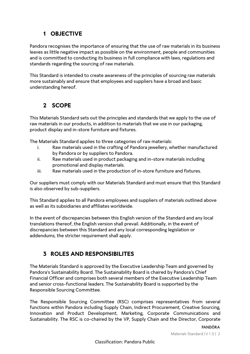# **1 OBJECTIVE**

Pandora recognises the importance of ensuring that the use of raw materials in its business leaves as little negative impact as possible on the environment, people and communities and is committed to conducting its business in full compliance with laws, regulations and standards regarding the sourcing of raw materials.

This Standard is intended to create awareness of the principles of sourcing raw materials more sustainably and ensure that employees and suppliers have a broad and basic understanding hereof.

# **2 SCOPE**

This Materials Standard sets out the principles and standards that we apply to the use of raw materials in our products, in addition to materials that we use in our packaging, product display and in-store furniture and fixtures.

The Materials Standard applies to three categories of raw materials:

- i. Raw materials used in the crafting of Pandora jewellery, whether manufactured by Pandora or by suppliers to Pandora.
- ii. Raw materials used in product packaging and in-store materials including promotional and display materials.
- iii. Raw materials used in the production of in-store furniture and fixtures.

Our suppliers must comply with our Materials Standard and must ensure that this Standard is also observed by sub-suppliers.

This Standard applies to all Pandora employees and suppliers of materials outlined above as well as its subsidiaries and affiliates worldwide.

In the event of discrepancies between this English version of the Standard and any local translations thereof, the English version shall prevail. Additionally, in the event of discrepancies between this Standard and any local corresponding legislation or addendums, the stricter requirement shall apply.

# **3 ROLES AND RESPONSIBILITES**

The Materials Standard is approved by the Executive Leadership Team and governed by Pandora's Sustainability Board. The Sustainability Board is chaired by Pandora's Chief Financial Officer and comprises both several members of the Executive Leadership Team and senior cross-functional leaders. The Sustainability Board is supported by the Responsible Sourcing Committee.

The Responsible Sourcing Committee (RSC) comprises representatives from several functions within Pandora including Supply Chain, Indirect Procurement, Creative Sourcing, Innovation and Product Development, Marketing, Corporate Communications and Sustainability. The RSC is co-chaired by the VP, Supply Chain and the Director, Corporate

Materials Standard | V.1.0 | 2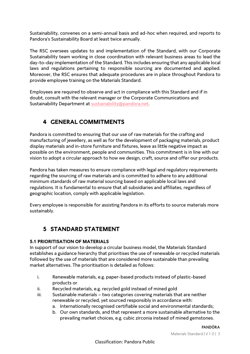Sustainability, convenes on a semi-annual basis and ad-hoc when required, and reports to Pandora's Sustainability Board at least twice annually.

The RSC oversees updates to and implementation of the Standard, with our Corporate Sustainability team working in close coordination with relevant business areas to lead the day-to-day implementation of the Standard. This includes ensuring that any applicable local laws and regulations pertaining to responsible sourcing are documented and applied. Moreover, the RSC ensures that adequate procedures are in place throughout Pandora to provide employee training on the Materials Standard.

Employees are required to observe and act in compliance with this Standard and if in doubt, consult with the relevant manager or the Corporate Communications and Sustainability Department at [sustainability@pandora.net.](mailto:sustainability@pandora.net)

# **4 GENERAL COMMITMENTS**

Pandora is committed to ensuring that our use of raw materials for the crafting and manufacturing of jewellery, as well as for the development of packaging materials, product display materials and in-store furniture and fixtures, leave as little negative impact as possible on the environment, people and communities. This commitment is in line with our vision to adopt a circular approach to how we design, craft, source and offer our products.

Pandora has taken measures to ensure compliance with legal and regulatory requirements regarding the sourcing of raw materials and is committed to adhere to any additional minimum standards of raw material sourcing based on applicable local laws and regulations. It is fundamental to ensure that all subsidiaries and affiliates, regardless of geographic location, comply with applicable legislation.

Every employee is responsible for assisting Pandora in its efforts to source materials more sustainably.

# **5 STANDARD STATEMENT**

### **5.1 PRIORITISATION OF MATERIALS**

In support of our vision to develop a circular business model, the Materials Standard establishes a guidance hierarchy that prioritises the use of renewable or recycled materials followed by the use of materials that are considered more sustainable than prevailing market alternatives. The prioritisation is detailed as follows:

- i. Renewable materials, e.g. paper-based products instead of plastic-based products or
- ii. Recycled materials, e.g. recycled gold instead of mined gold
- iii. Sustainable materials two categories covering materials that are neither renewable or recycled, yet sourced responsibly in accordance with:
	- a. Internationally recognised certifiable social and environmental standards;
	- b. Our own standards, and that represent a more sustainable alternative to the prevailing market choices, e.g. cubic zirconia instead of mined gemstones.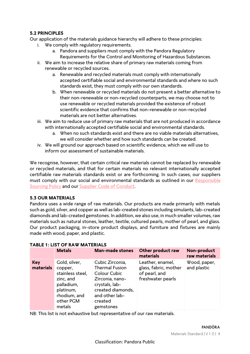### **5.2 PRINCIPLES**

Our application of the materials guidance hierarchy will adhere to these principles:

- i. We comply with regulatory requirements.
	- a. Pandora and suppliers must comply with the Pandora Regulatory Requirements for the Control and Monitoring of Hazardous Substances.
- ii. We aim to increase the relative share of primary raw materials coming from renewable or recycled sources.
	- a. Renewable and recycled materials must comply with internationally accepted certifiable social and environmental standards and where no such standards exist, they must comply with our own standards.
	- b. When renewable or recycled materials do not present a better alternative to their non-renewable or non-recycled counterparts, we may choose not to use renewable or recycled materials provided the existence of robust scientific evidence that confirms that non-renewable or non-recycled materials are not better alternatives.
- iii. We aim to reduce use of primary raw materials that are not produced in accordance with internationally accepted certifiable social and environmental standards.
	- a. When no such standards exist and there are no viable materials alternatives, we will consider whether and how such standards can be created.
- iv. We will ground our approach based on scientific evidence, which we will use to inform our assessment of sustainable materials.

We recognise, however, that certain critical raw materials cannot be replaced by renewable or recycled materials, and that for certain materials no relevant internationally accepted certifiable raw materials standards exist or are forthcoming. In such cases, our suppliers must comply with our social and environmental standards as outlined in our [Responsible](https://pandoragroup.com/sustainability/resources/policies)  [Sourcing Policy](https://pandoragroup.com/sustainability/resources/policies) and our [Supplier Code of Conduct.](https://pandoragroup.com/sustainability/resources/policies)

### **5.3 OUR MATERIALS**

Pandora uses a wide range of raw materials. Our products are made primarily with metals such as gold, silver, and copper as well as lab-created stones including simulants, lab-created diamonds and lab-created gemstones. In addition, we also use, in much smaller volumes, raw materials such as natural stones, leather, textile, cultured pearls, mother of pearl, and glass. Our product packaging, in-store product displays, and furniture and fixtures are mainly made with wood, paper, and plastic.

|                         | <b>Metals</b>                                                                                                               | <b>Man-made stones</b>                                                                                                                                       | Other product raw<br>materials                                                  | Non-product<br>raw materials |
|-------------------------|-----------------------------------------------------------------------------------------------------------------------------|--------------------------------------------------------------------------------------------------------------------------------------------------------------|---------------------------------------------------------------------------------|------------------------------|
| <b>Key</b><br>materials | Gold, silver,<br>copper,<br>stainless steel,<br>zinc, and<br>palladium,<br>platinum,<br>rhodium, and<br>other PGM<br>metals | Cubic Zirconia,<br><b>Thermal Fusion</b><br>Colour Cubic<br>Zirconia, nano-<br>crystals, lab-<br>created diamonds,<br>and other lab-<br>created<br>gemstones | Leather, enamel,<br>glass, fabric, mother<br>of pearl, and<br>freshwater pearls | Wood, paper,<br>and plastic  |

### **TABLE 1: LIST OF RAW MATERIALS**

NB: This list is not exhaustive but representative of our raw materials.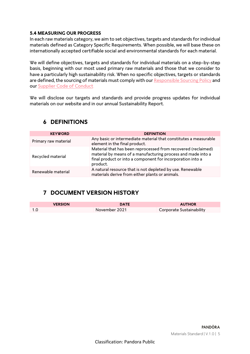### **5.4 MEASURING OUR PROGRESS**

In each raw materials category, we aim to set objectives, targets and standards for individual materials defined as Category Specific Requirements. When possible, we will base these on internationally accepted certifiable social and environmental standards for each material.

We will define objectives, targets and standards for individual materials on a step-by-step basis, beginning with our most used primary raw materials and those that we consider to have a particularly high sustainability risk. When no specific objectives, targets or standards are defined, the sourcing of materials must comply with ou[r Responsible Sourcing Policy](https://pandoragroup.com/sustainability/resources/policies) and our [Supplier Code of Conduct.](https://pandoragroup.com/sustainability/resources/policies)

We will disclose our targets and standards and provide progress updates for individual materials on our website and in our annual Sustainability Report.

| <b>KEYWORD</b>       | <b>DEFINITION</b>                                                                                                                                                                                       |  |
|----------------------|---------------------------------------------------------------------------------------------------------------------------------------------------------------------------------------------------------|--|
| Primary raw material | Any basic or intermediate material that constitutes a measurable<br>element in the final product.                                                                                                       |  |
| Recycled material    | Material that has been reprocessed from recovered (reclaimed)<br>material by means of a manufacturing process and made into a<br>final product or into a component for incorporation into a<br>product. |  |
| Renewable material   | A natural resource that is not depleted by use. Renewable<br>materials derive from either plants or animals.                                                                                            |  |

### **6 DEFINITIONS**

# **7 DOCUMENT VERSION HISTORY**

| <b>VERSION</b> | <b>DATE</b>   | <b>AUTHOR</b>            |
|----------------|---------------|--------------------------|
|                | November 2021 | Corporate Sustainability |